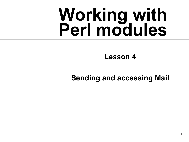# **Working with Perl modules**

#### **Lesson 4**

#### **Sending and accessing Mail**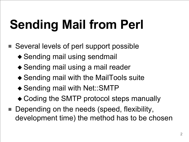# **Sending Mail from Perl**

- Several levels of perl support possible
	- ◆ Sending mail using sendmail
	- ◆ Sending mail using a mail reader
	- ◆ Sending mail with the MailTools suite
	- ◆ Sending mail with Net::SMTP
	- ◆ Coding the SMTP protocol steps manually
- Depending on the needs (speed, flexibility, development time) the method has to be chosen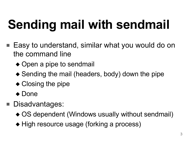# **Sending mail with sendmail**

- Easy to understand, similar what you would do on the command line
	- ◆ Open a pipe to sendmail
	- ◆ Sending the mail (headers, body) down the pipe
	- ◆ Closing the pipe
	- ◆ Done
- Disadvantages:
	- ◆ OS dependent (Windows usually without sendmail)
	- ◆ High resource usage (forking a process)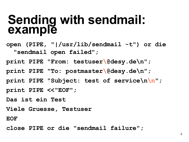#### **Sending with sendmail: example**

- **open (PIPE, "|/usr/lib/sendmail -t") or die "sendmail open failed";**
- **print PIPE "From: testuser\@desy.de\n";**
- **print PIPE "To: postmaster\@desy.de\n";**
- **print PIPE "Subject: test of service\n\n";**
- **print PIPE <<"EOF";**
- **Das ist ein Test**
- **Viele Gruesse, Testuser**
- **EOF**
- **close PIPE or die "sendmail failure";**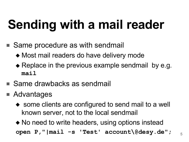### **Sending with a mail reader**

- Same procedure as with sendmail
	- ◆ Most mail readers do have delivery mode
	- ◆ Replace in the previous example sendmail by e.g. **mail**
- Same drawbacks as sendmail
- Advantages
	- ◆ some clients are configured to send mail to a well known server, not to the local sendmail

◆ No need to write headers, using options instead **open P, "|mail -s 'Test' account\@desy.de";**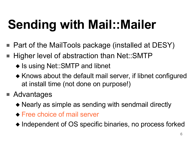# **Sending with Mail::Mailer**

- Part of the MailTools package (installed at DESY)
- Higher level of abstraction than Net::SMTP
	- ◆ Is using Net::SMTP and libnet
	- ◆ Knows about the default mail server, if libnet configured at install time (not done on purpose!)
- Advantages
	- ◆ Nearly as simple as sending with sendmail directly
	- ◆ Free choice of mail server
	- ◆ Independent of OS specific binaries, no process forked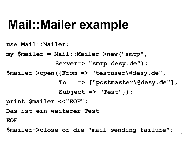#### **Mail::Mailer example**

**use Mail::Mailer; my \$mailer = Mail::Mailer->new("smtp" , Server=> "smtp.desy.de"); \$mailer->open({From => "testuser\@desy.de" , To => ["postmaster\@desy.de"], Subject => "Test"}); print \$mailer <<"EOF"; Das ist ein weiterer Test EOF \$mailer->close or die "mail sending failure";**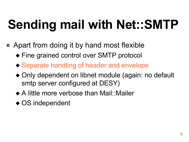# **Sending mail with Net::SMTP**

- Apart from doing it by hand most flexible
	- ◆ Fine grained control over SMTP protocol
	- ◆ Separate handling of header and envelope
	- ◆ Only dependent on libnet module (again: no default smtp server configured at DESY)
	- ◆ A little more verbose than Mail::Mailer
	- ◆ OS independent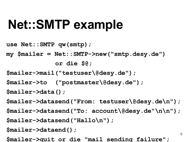#### **Net::SMTP example**

```
use Net::SMTP qw(smtp);
my $mailer = Net::SMTP->new("smtp.desy.de")
             or die $@;
$mailer->mail("testuser\@desy.de");
$mailer->to ("postmaster\@desy.de");
$mailer->data();
$mailer->datasend("From: testuser\@desy.de\n");
$mailer->datasend("To: account\@desy.de"\n\n");
$mailer->datasend("Hallo\n");
$mailer->dataend();
```
**\$mailer->quit or die "mail sending failure";**

9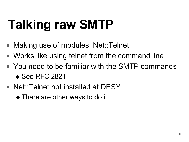# **Talking raw SMTP**

- Making use of modules: Net::Telnet
- Works like using telnet from the command line
- You need to be familiar with the SMTP commands ◆ See RFC 2821
- Net::Telnet not installed at DESY
	- ◆ There are other ways to do it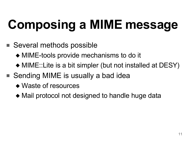# **Composing a MIME message**

- Several methods possible
	- ◆ MIME-tools provide mechanisms to do it
	- ◆ MIME::Lite is a bit simpler (but not installed at DESY)
- Sending MIME is usually a bad idea
	- ◆ Waste of resources
	- ◆ Mail protocol not designed to handle huge data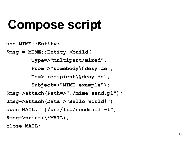# **Compose script**

```
use MIME::Entity;
$msg = MIME::Entity->build(
         Type=>"multipart/mixed",
         From=>"somebody\@desy.de",
         To=>"recipient\@desy.de",
         Subject=>"MIME example");
$msg->attach(Path=>"./mime_send.pl");
$msg->attach(Data=>"Hello world!");
open MAIL, "|/usr/lib/sendmail -t";
$msg->print(\*MAIL);
close MAIL;
```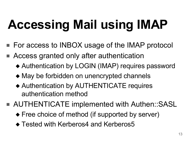# **Accessing Mail using IMAP**

- For access to INBOX usage of the IMAP protocol
- Access granted only after authentication
	- ◆ Authentication by LOGIN (IMAP) requires password
	- ◆ May be forbidden on unencrypted channels
	- ◆ Authentication by AUTHENTICATE requires authentication method
- AUTHENTICATE implemented with Authen::SASL
	- ◆ Free choice of method (if supported by server)
	- ◆ Tested with Kerberos4 and Kerberos5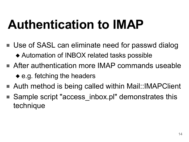#### **Authentication to IMAP**

- Use of SASL can eliminate need for passwd dialog
	- ◆ Automation of INBOX related tasks possible
- After authentication more IMAP commands useable
	- ◆ e.g. fetching the headers
- Auth method is being called within Mail::IMAPClient
- Sample script "access inbox.pl" demonstrates this technique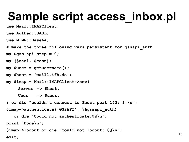#### **Sample script access\_inbox.pl**

```
use Mail::IMAPClient;
```

```
use Authen::SASL;
```

```
use MIME::Base64;
```

```
# make the three following vars persistent for gssapi_auth
```

```
my $gss api step = 0;
```

```
my ($sasl, $conn);
```

```
my $user = getusername();
```

```
my $host = 'mail1.ifh.de';
```

```
my $imap = Mail::IMAPClient->new(
```
**Server => \$host,**

**User => \$user,**

```
) or die "couldn't connect to $host port 143: $!\n";
```

```
$imap->authenticate('GSSAPI'
, \&gssapi_auth)
```

```
or die "Could not authenticate:$@\n";
```
**print "Done\n";**

```
$imap->logout or die "Could not logout: $@\n";
```
**exit;**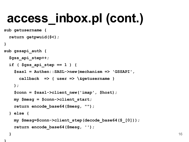#### **access\_inbox.pl (cont.)**

```
sub getusername {
  return getpwuid($<);
}
sub gssapi_auth {
  $gss_api_step++;
  if ( $gss_api_step == 1 ) {
    $sasl = Authen::SASL->new(mechanism => 'GSSAPI'
,
      callback => { user => \&getusername }
    );
    $conn = $sasl->client_new('imap'
, $host);
    my $mesg = $conn->client_start;
    return encode_base64($mesg, "");
  } else {
    my $mesg=$conn->client_step(decode_base64($_[0]));
    return encode_base64($mesg,
'');
```
**}**

**}**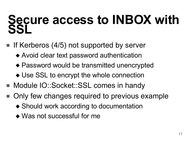#### **Secure access to INBOX with SSL**

- If Kerberos (4/5) not supported by server
	- ◆ Avoid clear text password authentication
	- ◆ Password would be transmitted unencrypted
	- ◆ Use SSL to encrypt the whole connection
- Module IO::Socket::SSL comes in handy
- Only few changes required to previous example
	- ◆ Should work according to documentation
	- ◆ Was not successful for me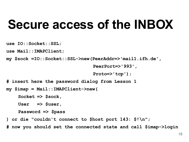#### **Secure access of the INBOX**

**use IO::Socket::SSL;**

**use Mail::IMAPClient;**

**my \$sock =IO::Socket::SSL->new(PeerAddr=>'mail1.ifh.de' ,**

**PeerPort=>'993' ,**

**Proto=>'tcp');**

**# insert here the password dialog from Lesson 1 my \$imap = Mail::IMAPClient->new(**

**Socket => \$sock,**

**User => \$user,**

**Password => \$pass**

**) or die "couldn't connect to \$host port 143: \$!\n";**

**# now you should set the connected state and call \$imap->login**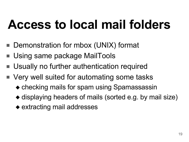#### **Access to local mail folders**

- Demonstration for mbox (UNIX) format
- Using same package MailTools
- Usually no further authentication required
- Very well suited for automating some tasks
	- ◆ checking mails for spam using Spamassassin
	- ◆ displaying headers of mails (sorted e.g. by mail size)
	- ◆ extracting mail addresses